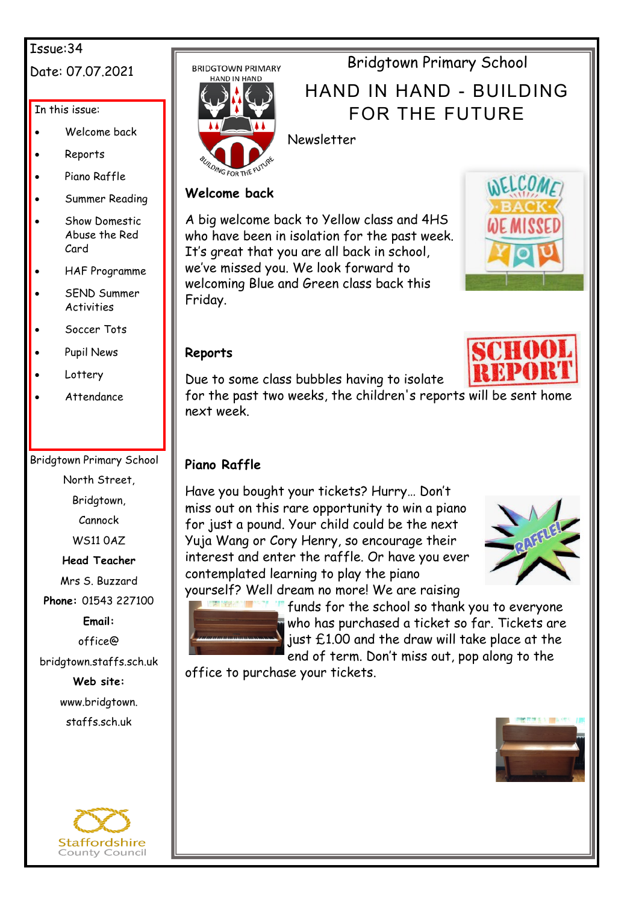#### Issue:34

## Date: 07.07.2021

## In this issue:

- Welcome back
- Reports
- Piano Raffle
- Summer Reading
- Show Domestic Abuse the Red Card
- HAF Programme
- SEND Summer **Activities**
- Soccer Tots
- Pupil News
- **Lottery**
- Attendance

## Bridgtown Primary School

North Street,

Bridgtown,

Cannock

WS11 0AZ

## **Head Teacher**

Mrs S. Buzzard

**Phone:** 01543 227100

**Email:**

office@

bridgtown.staffs.sch.uk

**Web site:** www.bridgtown. staffs.sch.uk







## Bridgtown Primary School

# HAND IN HAND - BUILDING FOR THE FUTURE



## Newsletter

## **Welcome back**

A big welcome back to Yellow class and 4HS who have been in isolation for the past week. It's great that you are all back in school, we've missed you. We look forward to welcoming Blue and Green class back this Friday.



## **Reports**



Due to some class bubbles having to isolate

for the past two weeks, the children's reports will be sent home next week.

## **Piano Raffle**

Have you bought your tickets? Hurry… Don't miss out on this rare opportunity to win a piano for just a pound. Your child could be the next Yuja Wang or Cory Henry, so encourage their interest and enter the raffle. Or have you ever contemplated learning to play the piano yourself? Well dream no more! We are raising





funds for the school so thank you to everyone who has purchased a ticket so far. Tickets are just £1.00 and the draw will take place at the end of term. Don't miss out, pop along to the

office to purchase your tickets.

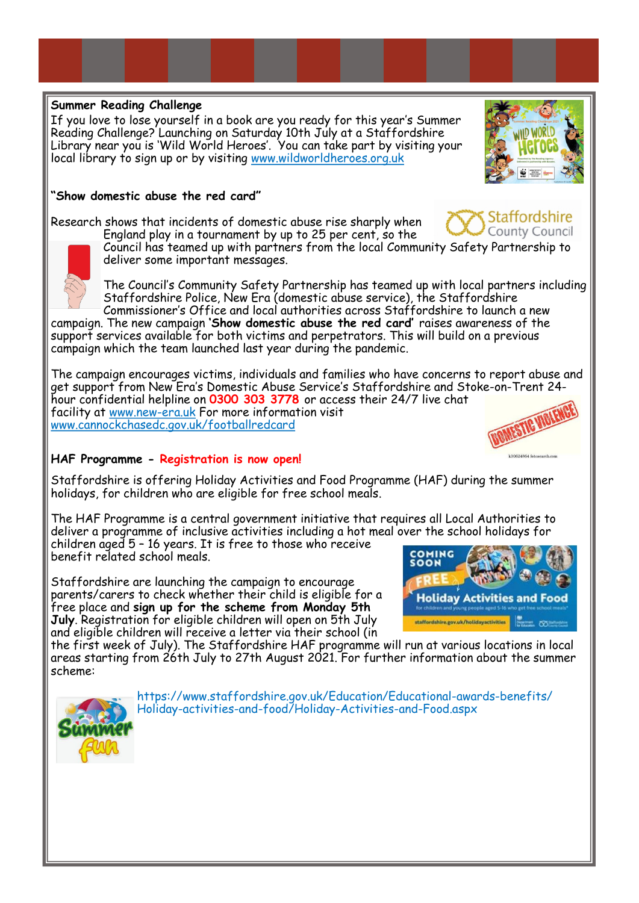#### **Summer Reading Challenge**

If you love to lose yourself in a book are you ready for this year's Summer Reading Challenge? Launching on Saturday 10th July at a Staffordshire Library near you is 'Wild World Heroes'. You can take part by visiting your local library to sign up or by visiting [www.wildworldheroes.org.uk](http://www.wildworldheroes.org.uk)

#### **"Show domestic abuse the red card"**

Research shows that incidents of domestic abuse rise sharply when

England play in a tournament by up to 25 per cent, so the Council has teamed up with partners from the local Community Safety Partnership to deliver some important messages.

The Council's Community Safety Partnership has teamed up with local partners including Staffordshire Police, New Era (domestic abuse service), the Staffordshire Commissioner's Office and local authorities across Staffordshire to launch a new

campaign. The new campaign **'Show domestic abuse the red card'** raises awareness of the support services available for both victims and perpetrators. This will build on a previous campaign which the team launched last year during the pandemic.

The campaign encourages victims, individuals and families who have concerns to report abuse and get support from New Era's Domestic Abuse Service's Staffordshire and Stoke-on-Trent 24 hour confidential helpline on **0300 303 3778** or access their 24/7 live chat facility at [www.new](http://www.new-era.uk)-era.uk For more information visit [www.cannockchasedc.gov.uk/footballredcard](http://www.cannockchasedc.gov.uk/footballredcard)

#### **HAF Programme - Registration is now open!**

Staffordshire is offering Holiday Activities and Food Programme (HAF) during the summer holidays, for children who are eligible for free school meals.

The HAF Programme is a central government initiative that requires all Local Authorities to deliver a programme of inclusive activities including a hot meal over the school holidays for children aged 5 – 16 years. It is free to those who receive

benefit related school meals.

Staffordshire are launching the campaign to encourage parents/carers to check whether their child is eligible for a free place and **sign up for the scheme from Monday 5th July**. Registration for eligible children will open on 5th July and eligible children will receive a letter via their school (in



the first week of July). The Staffordshire HAF programme will run at various locations in local areas starting from 26th July to 27th August 2021. For further information about the summer scheme:



https://www.staffordshire.gov.uk/Education/Educational-awards-benefits/ Holiday-activities-and-food/Holiday-Activities-and-Food.aspx





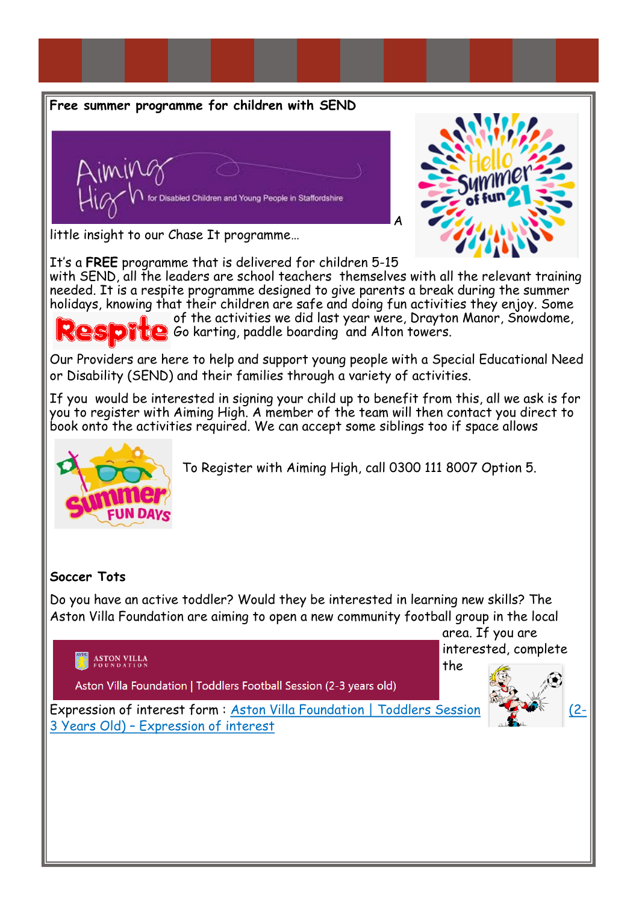#### **Free summer programme for children with SEND**





little insight to our Chase It programme…

It's a **FREE** programme that is delivered for children 5-15

with SEND, all the leaders are school teachers themselves with all the relevant training needed. It is a respite programme designed to give parents a break during the summer holidays, knowing that their children are safe and doing fun activities they enjoy. Some of the activities we did last year were, Drayton Manor, Snowdome, **CO** Go karting, paddle boarding and Alton towers.

Our Providers are here to help and support young people with a Special Educational Need or Disability (SEND) and their families through a variety of activities.

If you would be interested in signing your child up to benefit from this, all we ask is for you to register with Aiming High. A member of the team will then contact you direct to book onto the activities required. We can accept some siblings too if space allows



To Register with Aiming High, call 0300 111 8007 Option 5.

#### **Soccer Tots**

Do you have an active toddler? Would they be interested in learning new skills? The Aston Villa Foundation are aiming to open a new community football group in the local





Expression of interest form: [Aston Villa Foundation | Toddlers Session \(2](https://forms.office.com/Pages/ResponsePage.aspx?id=rJNfC0rRukeQV4gy2lY7x6hw0qbndtJGjqzpU1JTG7NUN1BBSlJRSExLQ0JYM0lCWTZOMVU3MzdBSy4u)) 3 Years Old) – [Expression of interest](https://forms.office.com/Pages/ResponsePage.aspx?id=rJNfC0rRukeQV4gy2lY7x6hw0qbndtJGjqzpU1JTG7NUN1BBSlJRSExLQ0JYM0lCWTZOMVU3MzdBSy4u)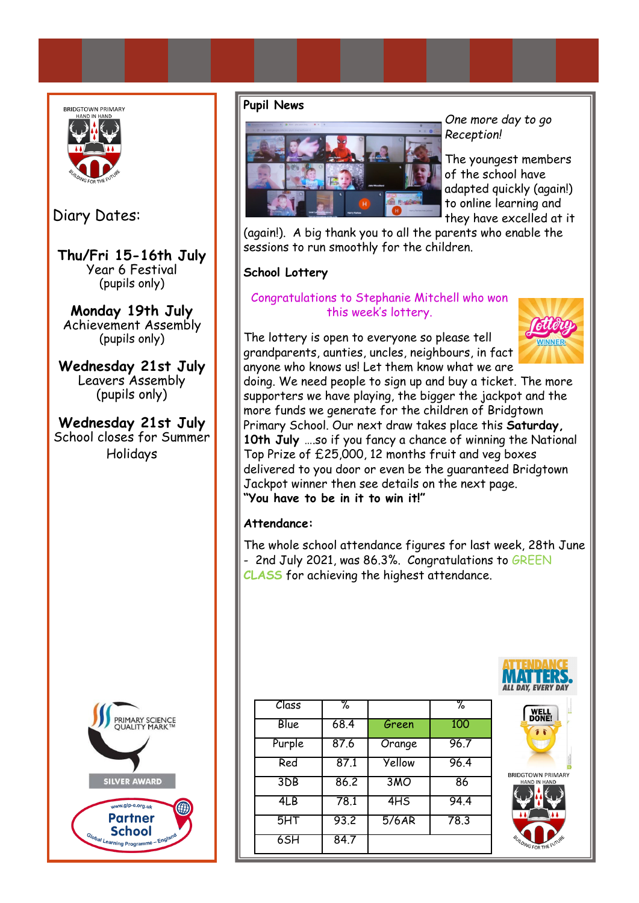

Diary Dates:

**Thu/Fri 15-16th July**  Year 6 Festival (pupils only)

**Monday 19th July** Achievement Assembly (pupils only)

**Wednesday 21st July** Leavers Assembly (pupils only)

**Wednesday 21st July** School closes for Summer Holidays



#### **Pupil News**



*One more day to go Reception!* 

The youngest members of the school have adapted quickly (again!) to online learning and they have excelled at it

(again!). A big thank you to all the parents who enable the sessions to run smoothly for the children.

#### **School Lottery**

#### Congratulations to Stephanie Mitchell who won this week's lottery.

The lottery is open to everyone so please tell grandparents, aunties, uncles, neighbours, in fact anyone who knows us! Let them know what we are



doing. We need people to sign up and buy a ticket. The more supporters we have playing, the bigger the jackpot and the more funds we generate for the children of Bridgtown Primary School. Our next draw takes place this **Saturday, 10th July** ….so if you fancy a chance of winning the National Top Prize of £25,000, 12 months fruit and veg boxes delivered to you door or even be the guaranteed Bridgtown Jackpot winner then see details on the next page. **"You have to be in it to win it!"**

#### **Attendance:**

The whole school attendance figures for last week, 28th June - 2nd July 2021, was 86.3%. Congratulations to GREEN **CLASS** for achieving the highest attendance.